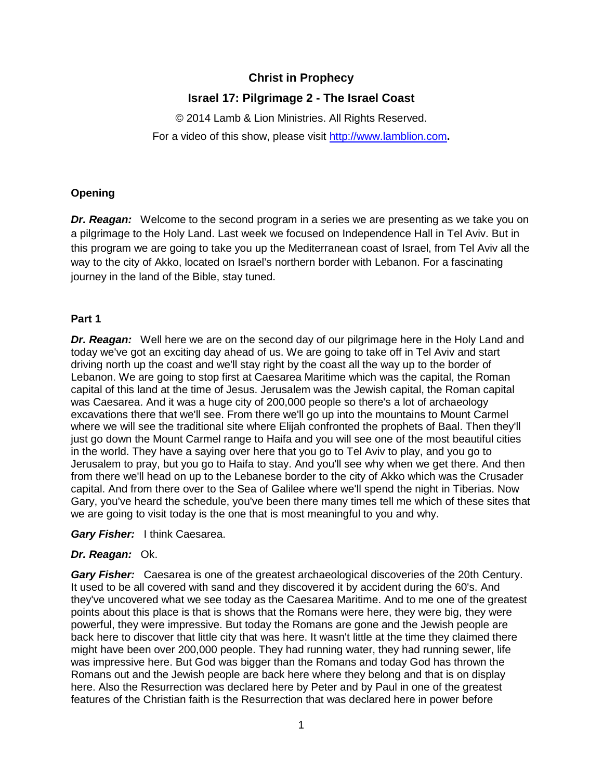# **Christ in Prophecy**

# **Israel 17: Pilgrimage 2 - The Israel Coast**

© 2014 Lamb & Lion Ministries. All Rights Reserved. For a video of this show, please visit [http://www.lamblion.com](http://www.lamblion.com/)**.**

# **Opening**

*Dr. Reagan:* Welcome to the second program in a series we are presenting as we take you on a pilgrimage to the Holy Land. Last week we focused on Independence Hall in Tel Aviv. But in this program we are going to take you up the Mediterranean coast of Israel, from Tel Aviv all the way to the city of Akko, located on Israel's northern border with Lebanon. For a fascinating journey in the land of the Bible, stay tuned.

# **Part 1**

*Dr. Reagan:* Well here we are on the second day of our pilgrimage here in the Holy Land and today we've got an exciting day ahead of us. We are going to take off in Tel Aviv and start driving north up the coast and we'll stay right by the coast all the way up to the border of Lebanon. We are going to stop first at Caesarea Maritime which was the capital, the Roman capital of this land at the time of Jesus. Jerusalem was the Jewish capital, the Roman capital was Caesarea. And it was a huge city of 200,000 people so there's a lot of archaeology excavations there that we'll see. From there we'll go up into the mountains to Mount Carmel where we will see the traditional site where Elijah confronted the prophets of Baal. Then they'll iust go down the Mount Carmel range to Haifa and you will see one of the most beautiful cities in the world. They have a saying over here that you go to Tel Aviv to play, and you go to Jerusalem to pray, but you go to Haifa to stay. And you'll see why when we get there. And then from there we'll head on up to the Lebanese border to the city of Akko which was the Crusader capital. And from there over to the Sea of Galilee where we'll spend the night in Tiberias. Now Gary, you've heard the schedule, you've been there many times tell me which of these sites that we are going to visit today is the one that is most meaningful to you and why.

*Gary Fisher:* I think Caesarea.

### *Dr. Reagan:* Ok.

*Gary Fisher:* Caesarea is one of the greatest archaeological discoveries of the 20th Century. It used to be all covered with sand and they discovered it by accident during the 60's. And they've uncovered what we see today as the Caesarea Maritime. And to me one of the greatest points about this place is that is shows that the Romans were here, they were big, they were powerful, they were impressive. But today the Romans are gone and the Jewish people are back here to discover that little city that was here. It wasn't little at the time they claimed there might have been over 200,000 people. They had running water, they had running sewer, life was impressive here. But God was bigger than the Romans and today God has thrown the Romans out and the Jewish people are back here where they belong and that is on display here. Also the Resurrection was declared here by Peter and by Paul in one of the greatest features of the Christian faith is the Resurrection that was declared here in power before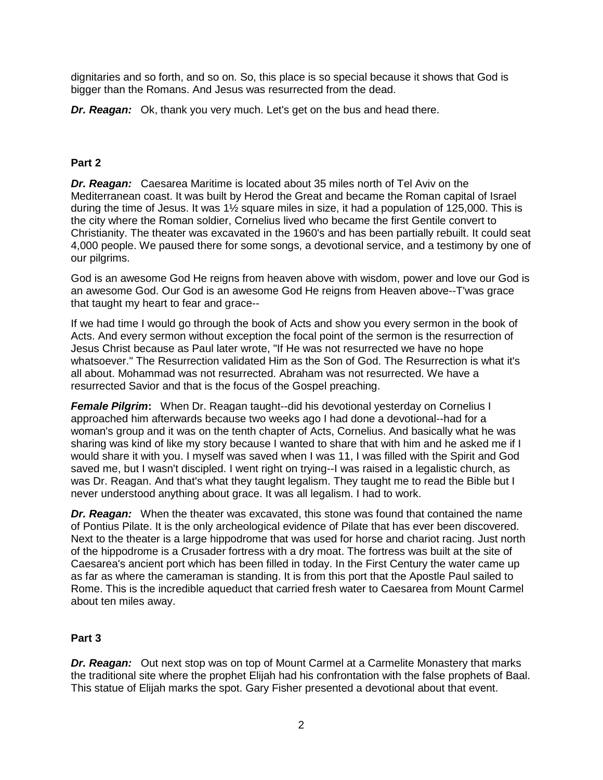dignitaries and so forth, and so on. So, this place is so special because it shows that God is bigger than the Romans. And Jesus was resurrected from the dead.

*Dr. Reagan:* Ok, thank you very much. Let's get on the bus and head there.

## **Part 2**

*Dr. Reagan:* Caesarea Maritime is located about 35 miles north of Tel Aviv on the Mediterranean coast. It was built by Herod the Great and became the Roman capital of Israel during the time of Jesus. It was 1½ square miles in size, it had a population of 125,000. This is the city where the Roman soldier, Cornelius lived who became the first Gentile convert to Christianity. The theater was excavated in the 1960's and has been partially rebuilt. It could seat 4,000 people. We paused there for some songs, a devotional service, and a testimony by one of our pilgrims.

God is an awesome God He reigns from heaven above with wisdom, power and love our God is an awesome God. Our God is an awesome God He reigns from Heaven above--T'was grace that taught my heart to fear and grace--

If we had time I would go through the book of Acts and show you every sermon in the book of Acts. And every sermon without exception the focal point of the sermon is the resurrection of Jesus Christ because as Paul later wrote, "If He was not resurrected we have no hope whatsoever." The Resurrection validated Him as the Son of God. The Resurrection is what it's all about. Mohammad was not resurrected. Abraham was not resurrected. We have a resurrected Savior and that is the focus of the Gospel preaching.

**Female Pilgrim:** When Dr. Reagan taught--did his devotional yesterday on Cornelius I approached him afterwards because two weeks ago I had done a devotional--had for a woman's group and it was on the tenth chapter of Acts, Cornelius. And basically what he was sharing was kind of like my story because I wanted to share that with him and he asked me if I would share it with you. I myself was saved when I was 11, I was filled with the Spirit and God saved me, but I wasn't discipled. I went right on trying--I was raised in a legalistic church, as was Dr. Reagan. And that's what they taught legalism. They taught me to read the Bible but I never understood anything about grace. It was all legalism. I had to work.

*Dr. Reagan:* When the theater was excavated, this stone was found that contained the name of Pontius Pilate. It is the only archeological evidence of Pilate that has ever been discovered. Next to the theater is a large hippodrome that was used for horse and chariot racing. Just north of the hippodrome is a Crusader fortress with a dry moat. The fortress was built at the site of Caesarea's ancient port which has been filled in today. In the First Century the water came up as far as where the cameraman is standing. It is from this port that the Apostle Paul sailed to Rome. This is the incredible aqueduct that carried fresh water to Caesarea from Mount Carmel about ten miles away.

### **Part 3**

*Dr. Reagan:* Out next stop was on top of Mount Carmel at a Carmelite Monastery that marks the traditional site where the prophet Elijah had his confrontation with the false prophets of Baal. This statue of Elijah marks the spot. Gary Fisher presented a devotional about that event.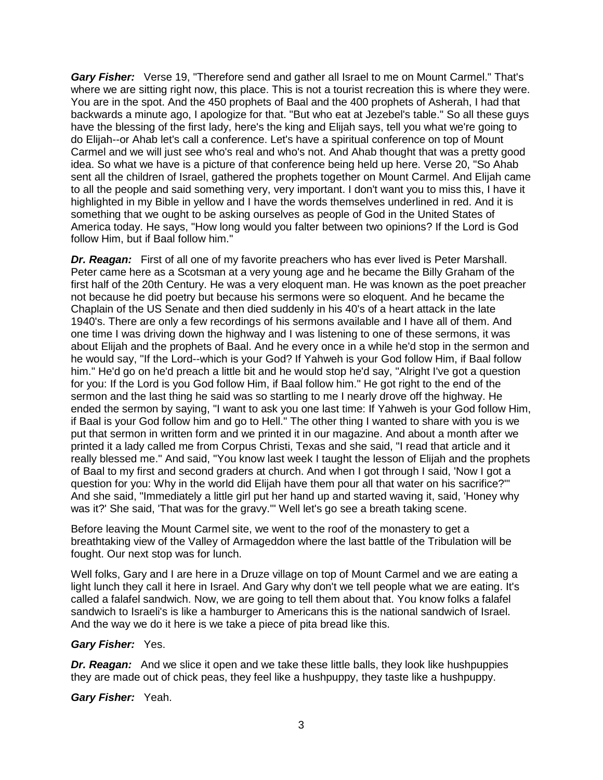*Gary Fisher:* Verse 19, "Therefore send and gather all Israel to me on Mount Carmel." That's where we are sitting right now, this place. This is not a tourist recreation this is where they were. You are in the spot. And the 450 prophets of Baal and the 400 prophets of Asherah, I had that backwards a minute ago, I apologize for that. "But who eat at Jezebel's table." So all these guys have the blessing of the first lady, here's the king and Elijah says, tell you what we're going to do Elijah--or Ahab let's call a conference. Let's have a spiritual conference on top of Mount Carmel and we will just see who's real and who's not. And Ahab thought that was a pretty good idea. So what we have is a picture of that conference being held up here. Verse 20, "So Ahab sent all the children of Israel, gathered the prophets together on Mount Carmel. And Elijah came to all the people and said something very, very important. I don't want you to miss this, I have it highlighted in my Bible in yellow and I have the words themselves underlined in red. And it is something that we ought to be asking ourselves as people of God in the United States of America today. He says, "How long would you falter between two opinions? If the Lord is God follow Him, but if Baal follow him."

*Dr. Reagan:* First of all one of my favorite preachers who has ever lived is Peter Marshall. Peter came here as a Scotsman at a very young age and he became the Billy Graham of the first half of the 20th Century. He was a very eloquent man. He was known as the poet preacher not because he did poetry but because his sermons were so eloquent. And he became the Chaplain of the US Senate and then died suddenly in his 40's of a heart attack in the late 1940's. There are only a few recordings of his sermons available and I have all of them. And one time I was driving down the highway and I was listening to one of these sermons, it was about Elijah and the prophets of Baal. And he every once in a while he'd stop in the sermon and he would say, "If the Lord--which is your God? If Yahweh is your God follow Him, if Baal follow him." He'd go on he'd preach a little bit and he would stop he'd say, "Alright I've got a question for you: If the Lord is you God follow Him, if Baal follow him." He got right to the end of the sermon and the last thing he said was so startling to me I nearly drove off the highway. He ended the sermon by saying, "I want to ask you one last time: If Yahweh is your God follow Him, if Baal is your God follow him and go to Hell." The other thing I wanted to share with you is we put that sermon in written form and we printed it in our magazine. And about a month after we printed it a lady called me from Corpus Christi, Texas and she said, "I read that article and it really blessed me." And said, "You know last week I taught the lesson of Elijah and the prophets of Baal to my first and second graders at church. And when I got through I said, 'Now I got a question for you: Why in the world did Elijah have them pour all that water on his sacrifice?'" And she said, "Immediately a little girl put her hand up and started waving it, said, 'Honey why was it?' She said, 'That was for the gravy.'" Well let's go see a breath taking scene.

Before leaving the Mount Carmel site, we went to the roof of the monastery to get a breathtaking view of the Valley of Armageddon where the last battle of the Tribulation will be fought. Our next stop was for lunch.

Well folks, Gary and I are here in a Druze village on top of Mount Carmel and we are eating a light lunch they call it here in Israel. And Gary why don't we tell people what we are eating. It's called a falafel sandwich. Now, we are going to tell them about that. You know folks a falafel sandwich to Israeli's is like a hamburger to Americans this is the national sandwich of Israel. And the way we do it here is we take a piece of pita bread like this.

#### *Gary Fisher:* Yes.

*Dr. Reagan:* And we slice it open and we take these little balls, they look like hushpuppies they are made out of chick peas, they feel like a hushpuppy, they taste like a hushpuppy.

*Gary Fisher:* Yeah.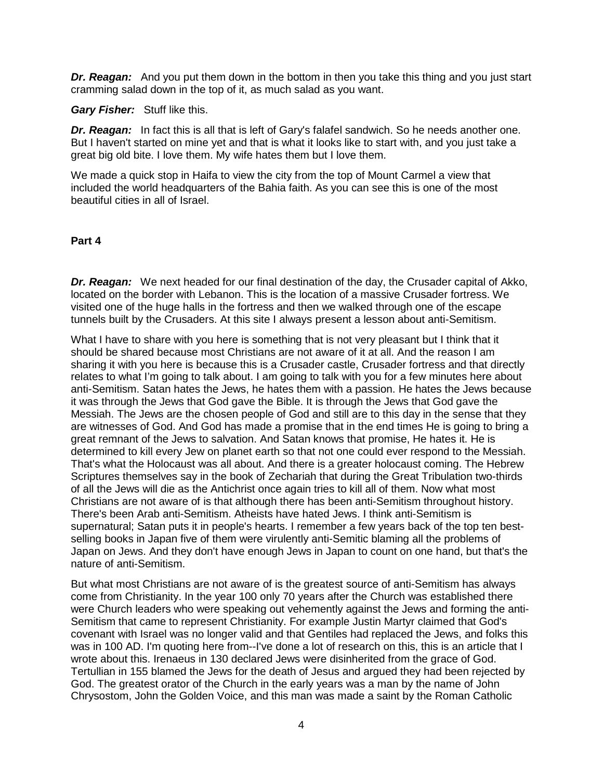*Dr. Reagan:* And you put them down in the bottom in then you take this thing and you just start cramming salad down in the top of it, as much salad as you want.

#### *Gary Fisher:* Stuff like this.

*Dr. Reagan:* In fact this is all that is left of Gary's falafel sandwich. So he needs another one. But I haven't started on mine yet and that is what it looks like to start with, and you just take a great big old bite. I love them. My wife hates them but I love them.

We made a quick stop in Haifa to view the city from the top of Mount Carmel a view that included the world headquarters of the Bahia faith. As you can see this is one of the most beautiful cities in all of Israel.

#### **Part 4**

*Dr. Reagan:* We next headed for our final destination of the day, the Crusader capital of Akko, located on the border with Lebanon. This is the location of a massive Crusader fortress. We visited one of the huge halls in the fortress and then we walked through one of the escape tunnels built by the Crusaders. At this site I always present a lesson about anti-Semitism.

What I have to share with you here is something that is not very pleasant but I think that it should be shared because most Christians are not aware of it at all. And the reason I am sharing it with you here is because this is a Crusader castle, Crusader fortress and that directly relates to what I'm going to talk about. I am going to talk with you for a few minutes here about anti-Semitism. Satan hates the Jews, he hates them with a passion. He hates the Jews because it was through the Jews that God gave the Bible. It is through the Jews that God gave the Messiah. The Jews are the chosen people of God and still are to this day in the sense that they are witnesses of God. And God has made a promise that in the end times He is going to bring a great remnant of the Jews to salvation. And Satan knows that promise, He hates it. He is determined to kill every Jew on planet earth so that not one could ever respond to the Messiah. That's what the Holocaust was all about. And there is a greater holocaust coming. The Hebrew Scriptures themselves say in the book of Zechariah that during the Great Tribulation two-thirds of all the Jews will die as the Antichrist once again tries to kill all of them. Now what most Christians are not aware of is that although there has been anti-Semitism throughout history. There's been Arab anti-Semitism. Atheists have hated Jews. I think anti-Semitism is supernatural; Satan puts it in people's hearts. I remember a few years back of the top ten bestselling books in Japan five of them were virulently anti-Semitic blaming all the problems of Japan on Jews. And they don't have enough Jews in Japan to count on one hand, but that's the nature of anti-Semitism.

But what most Christians are not aware of is the greatest source of anti-Semitism has always come from Christianity. In the year 100 only 70 years after the Church was established there were Church leaders who were speaking out vehemently against the Jews and forming the anti-Semitism that came to represent Christianity. For example Justin Martyr claimed that God's covenant with Israel was no longer valid and that Gentiles had replaced the Jews, and folks this was in 100 AD. I'm quoting here from--I've done a lot of research on this, this is an article that I wrote about this. Irenaeus in 130 declared Jews were disinherited from the grace of God. Tertullian in 155 blamed the Jews for the death of Jesus and argued they had been rejected by God. The greatest orator of the Church in the early years was a man by the name of John Chrysostom, John the Golden Voice, and this man was made a saint by the Roman Catholic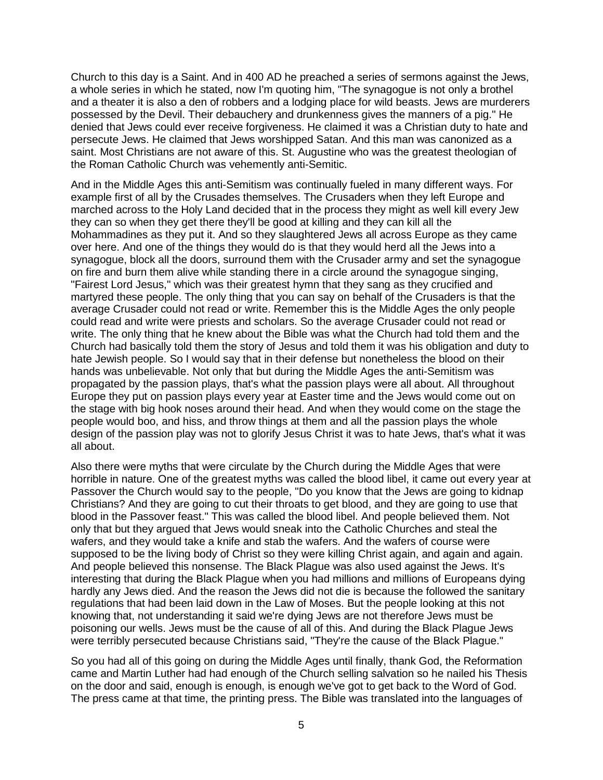Church to this day is a Saint. And in 400 AD he preached a series of sermons against the Jews, a whole series in which he stated, now I'm quoting him, "The synagogue is not only a brothel and a theater it is also a den of robbers and a lodging place for wild beasts. Jews are murderers possessed by the Devil. Their debauchery and drunkenness gives the manners of a pig." He denied that Jews could ever receive forgiveness. He claimed it was a Christian duty to hate and persecute Jews. He claimed that Jews worshipped Satan. And this man was canonized as a saint. Most Christians are not aware of this. St. Augustine who was the greatest theologian of the Roman Catholic Church was vehemently anti-Semitic.

And in the Middle Ages this anti-Semitism was continually fueled in many different ways. For example first of all by the Crusades themselves. The Crusaders when they left Europe and marched across to the Holy Land decided that in the process they might as well kill every Jew they can so when they get there they'll be good at killing and they can kill all the Mohammadines as they put it. And so they slaughtered Jews all across Europe as they came over here. And one of the things they would do is that they would herd all the Jews into a synagogue, block all the doors, surround them with the Crusader army and set the synagogue on fire and burn them alive while standing there in a circle around the synagogue singing, "Fairest Lord Jesus," which was their greatest hymn that they sang as they crucified and martyred these people. The only thing that you can say on behalf of the Crusaders is that the average Crusader could not read or write. Remember this is the Middle Ages the only people could read and write were priests and scholars. So the average Crusader could not read or write. The only thing that he knew about the Bible was what the Church had told them and the Church had basically told them the story of Jesus and told them it was his obligation and duty to hate Jewish people. So I would say that in their defense but nonetheless the blood on their hands was unbelievable. Not only that but during the Middle Ages the anti-Semitism was propagated by the passion plays, that's what the passion plays were all about. All throughout Europe they put on passion plays every year at Easter time and the Jews would come out on the stage with big hook noses around their head. And when they would come on the stage the people would boo, and hiss, and throw things at them and all the passion plays the whole design of the passion play was not to glorify Jesus Christ it was to hate Jews, that's what it was all about.

Also there were myths that were circulate by the Church during the Middle Ages that were horrible in nature. One of the greatest myths was called the blood libel, it came out every year at Passover the Church would say to the people, "Do you know that the Jews are going to kidnap Christians? And they are going to cut their throats to get blood, and they are going to use that blood in the Passover feast." This was called the blood libel. And people believed them. Not only that but they argued that Jews would sneak into the Catholic Churches and steal the wafers, and they would take a knife and stab the wafers. And the wafers of course were supposed to be the living body of Christ so they were killing Christ again, and again and again. And people believed this nonsense. The Black Plague was also used against the Jews. It's interesting that during the Black Plague when you had millions and millions of Europeans dying hardly any Jews died. And the reason the Jews did not die is because the followed the sanitary regulations that had been laid down in the Law of Moses. But the people looking at this not knowing that, not understanding it said we're dying Jews are not therefore Jews must be poisoning our wells. Jews must be the cause of all of this. And during the Black Plague Jews were terribly persecuted because Christians said, "They're the cause of the Black Plague."

So you had all of this going on during the Middle Ages until finally, thank God, the Reformation came and Martin Luther had had enough of the Church selling salvation so he nailed his Thesis on the door and said, enough is enough, is enough we've got to get back to the Word of God. The press came at that time, the printing press. The Bible was translated into the languages of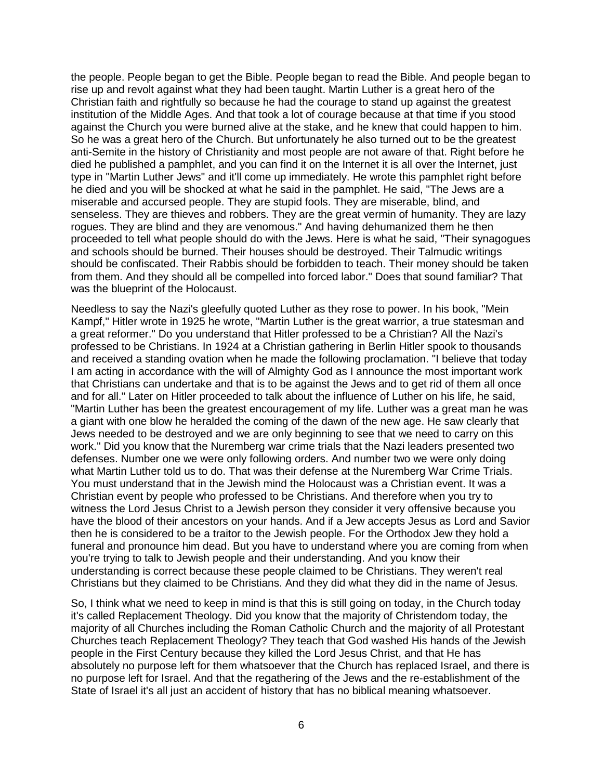the people. People began to get the Bible. People began to read the Bible. And people began to rise up and revolt against what they had been taught. Martin Luther is a great hero of the Christian faith and rightfully so because he had the courage to stand up against the greatest institution of the Middle Ages. And that took a lot of courage because at that time if you stood against the Church you were burned alive at the stake, and he knew that could happen to him. So he was a great hero of the Church. But unfortunately he also turned out to be the greatest anti-Semite in the history of Christianity and most people are not aware of that. Right before he died he published a pamphlet, and you can find it on the Internet it is all over the Internet, just type in "Martin Luther Jews" and it'll come up immediately. He wrote this pamphlet right before he died and you will be shocked at what he said in the pamphlet. He said, "The Jews are a miserable and accursed people. They are stupid fools. They are miserable, blind, and senseless. They are thieves and robbers. They are the great vermin of humanity. They are lazy rogues. They are blind and they are venomous." And having dehumanized them he then proceeded to tell what people should do with the Jews. Here is what he said, "Their synagogues and schools should be burned. Their houses should be destroyed. Their Talmudic writings should be confiscated. Their Rabbis should be forbidden to teach. Their money should be taken from them. And they should all be compelled into forced labor." Does that sound familiar? That was the blueprint of the Holocaust.

Needless to say the Nazi's gleefully quoted Luther as they rose to power. In his book, "Mein Kampf," Hitler wrote in 1925 he wrote, "Martin Luther is the great warrior, a true statesman and a great reformer." Do you understand that Hitler professed to be a Christian? All the Nazi's professed to be Christians. In 1924 at a Christian gathering in Berlin Hitler spook to thousands and received a standing ovation when he made the following proclamation. "I believe that today I am acting in accordance with the will of Almighty God as I announce the most important work that Christians can undertake and that is to be against the Jews and to get rid of them all once and for all." Later on Hitler proceeded to talk about the influence of Luther on his life, he said, "Martin Luther has been the greatest encouragement of my life. Luther was a great man he was a giant with one blow he heralded the coming of the dawn of the new age. He saw clearly that Jews needed to be destroyed and we are only beginning to see that we need to carry on this work." Did you know that the Nuremberg war crime trials that the Nazi leaders presented two defenses. Number one we were only following orders. And number two we were only doing what Martin Luther told us to do. That was their defense at the Nuremberg War Crime Trials. You must understand that in the Jewish mind the Holocaust was a Christian event. It was a Christian event by people who professed to be Christians. And therefore when you try to witness the Lord Jesus Christ to a Jewish person they consider it very offensive because you have the blood of their ancestors on your hands. And if a Jew accepts Jesus as Lord and Savior then he is considered to be a traitor to the Jewish people. For the Orthodox Jew they hold a funeral and pronounce him dead. But you have to understand where you are coming from when you're trying to talk to Jewish people and their understanding. And you know their understanding is correct because these people claimed to be Christians. They weren't real Christians but they claimed to be Christians. And they did what they did in the name of Jesus.

So, I think what we need to keep in mind is that this is still going on today, in the Church today it's called Replacement Theology. Did you know that the majority of Christendom today, the majority of all Churches including the Roman Catholic Church and the majority of all Protestant Churches teach Replacement Theology? They teach that God washed His hands of the Jewish people in the First Century because they killed the Lord Jesus Christ, and that He has absolutely no purpose left for them whatsoever that the Church has replaced Israel, and there is no purpose left for Israel. And that the regathering of the Jews and the re-establishment of the State of Israel it's all just an accident of history that has no biblical meaning whatsoever.